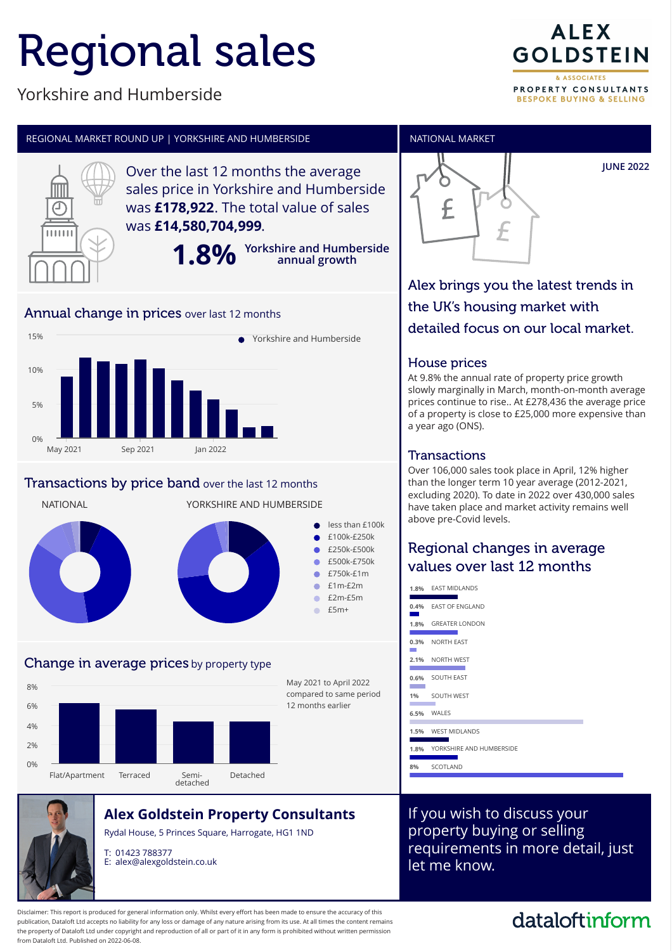# Regional sales

### Yorkshire and Humberside



**BESPOKE BUYING & SELLING** 



Disclaimer: This report is produced for general information only. Whilst every effort has been made to ensure the accuracy of this publication, Dataloft Ltd accepts no liability for any loss or damage of any nature arising from its use. At all times the content remains the property of Dataloft Ltd under copyright and reproduction of all or part of it in any form is prohibited without written permission from Dataloft Ltd. Published on 2022-06-08.

### dataloftinform